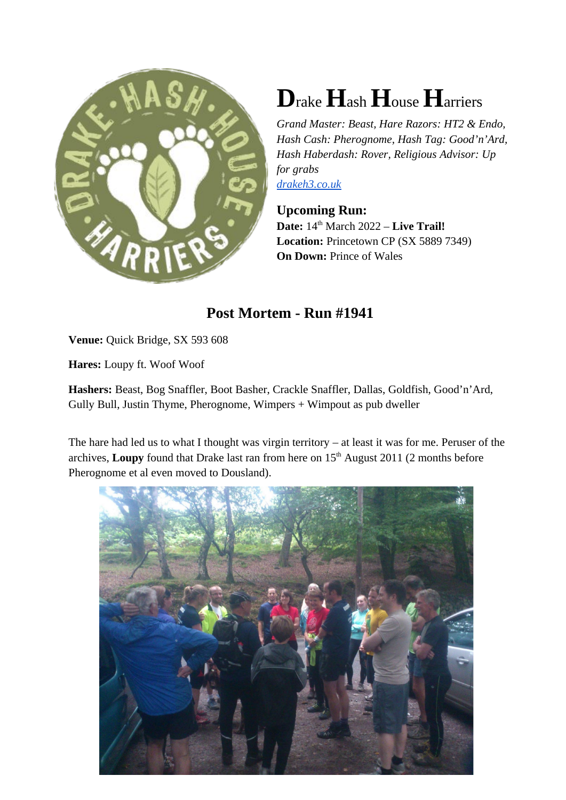

## **D**rake**H**ash **H**ouse **H**arriers

*Grand Master: Beast, Hare Razors: HT2 & Endo, Hash Cash: Pherognome, Hash Tag: Good'n'Ard, Hash Haberdash: Rover, Religious Advisor: Up for grabs drakeh3.co.uk*

## **Upcoming Run:**

**Date:**  $14^{\text{th}}$  March 2022 – **Live Trail! Location:** Princetown CP (SX 5889 7349) **On Down: Prince of Wales** 

## **Post Mortem - Run #1941**

**Venue:** Quick Bridge, SX 593 608

**Hares:** Loupy ft. Woof Woof

**Hashers:** Beast, Bog Snaffler, Boot Basher, Crackle Snaffler, Dallas, Goldfish, Good'n'Ard, Gully Bull, Justin Thyme, Pherognome, Wimpers + Wimpout as pub dweller

The hare had led us to what I thought was virgin territory – at least it was for me. Peruser of the archives, **Loupy** found that Drake last ran from here on 15<sup>th</sup> August 2011 (2 months before Pherognome et al even moved to Dousland).

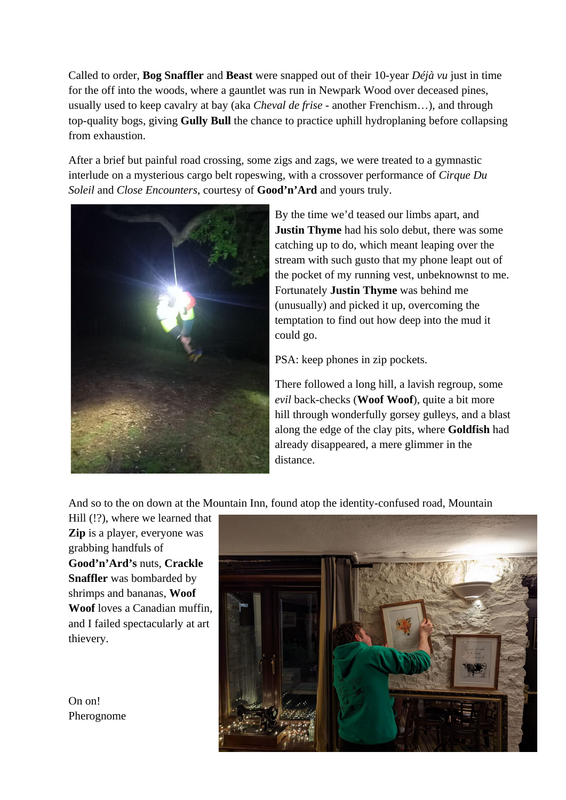Called to order, **Bog Snaffler** and **Beast** were snapped out of their 10-year *Déjà vu* just in time for the off into the woods, where a gauntlet was run in Newpark Wood over deceased pines, usually used to keep cavalry at bay (aka *Cheval de frise -* another Frenchism…), and through top-quality bogs, giving **Gully Bull** the chance to practice uphill hydroplaning before collapsing from exhaustion.

After a brief but painful road crossing, some zigs and zags, we were treated to a gymnastic interlude on a mysterious cargo belt ropeswing, with a crossover performance of *Cirque Du Soleil* and *Close Encounters*, courtesy of **Good'n'Ard** and yours truly.



By the time we'd teased our limbs apart, and **Justin Thyme** had his solo debut, there was some catching up to do, which meant leaping over the stream with such gusto that my phone leapt out of the pocket of my running vest, unbeknownst to me. Fortunately **Justin Thyme** was behind me (unusually) and picked it up, overcoming the temptation to find out how deep into the mud it could go.

PSA: keep phones in zip pockets.

There followed a long hill, a lavish regroup, some *evil* back-checks (**Woof Woof**), quite a bit more hill through wonderfully gorsey gulleys, and a blast along the edge of the clay pits, where **Goldfish** had already disappeared, a mere glimmer in the distance.

And so to the on down at the Mountain Inn, found atop the identity-confused road, Mountain

Hill (!?), where we learned that **Zip** is a player, everyone was grabbing handfuls of **Good'n'Ard's** nuts, **Crackle Snaffler** was bombarded by shrimps and bananas, **Woof Woof** loves a Canadian muffin, and I failed spectacularly at art thievery.

On on! Pherognome